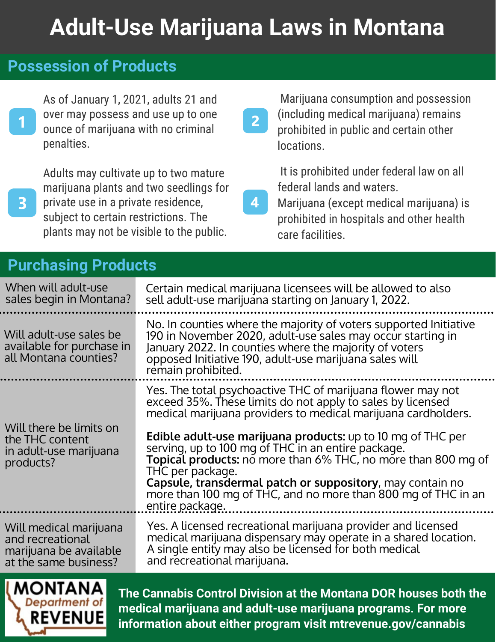# **Adult-Use Marijuana Laws in Montana**

 $\overline{2}$ 

### **Possession of Products**

As of January 1, 2021, adults 21 and over may possess and use up to one ounce of marijuana with no criminal penalties.

 $\overline{\mathbf{3}}$ 

Adults may cultivate up to two mature marijuana plants and two seedlings for private use in a private residence, subject to certain restrictions. The plants may not be visible to the public.

### **Purchasing Products**

 Marijuana consumption and possession (including medical marijuana) remains prohibited in public and certain other locations.

 It is prohibited under federal law on all federal lands and waters.

Marijuana (except medical marijuana) is prohibited in hospitals and other health care facilities.

| When will adult-use                                                               | Certain medical marijuana licensees will be allowed to also                                                                                                                                                                                                                                                                                                                                                                                                                                                                                                         |
|-----------------------------------------------------------------------------------|---------------------------------------------------------------------------------------------------------------------------------------------------------------------------------------------------------------------------------------------------------------------------------------------------------------------------------------------------------------------------------------------------------------------------------------------------------------------------------------------------------------------------------------------------------------------|
| sales begin in Montana?                                                           | sell adult-use marijuana starting on January 1, 2022.                                                                                                                                                                                                                                                                                                                                                                                                                                                                                                               |
| Will adult-use sales be<br>available for purchase in<br>all Montana counties?     | No. In counties where the majority of voters supported Initiative<br>190 in November 2020, adult-use sales may occur starting in<br>January 2022. In counties where the majority of voters<br>opposed Initiative 190, adult-use marijuana sales will<br>remain prohibited.                                                                                                                                                                                                                                                                                          |
| Will there be limits on<br>the THC content<br>in adult-use marijuana<br>products? | Yes. The total psychoactive THC of marijuana flower may not<br>exceed 35%. These limits do not apply to sales by licensed<br>medical marijuana providers to medical marijuana cardholders.<br><b>Edible adult-use marijuana products:</b> up to 10 mg of THC per<br>serving, up to 100 mg of THC in an entire package.<br><b>Topical products:</b> no more than 6% THC, no more than 800 mg of<br>THC per package.<br>Capsule, transdermal patch or suppository, may contain no<br>more than 100 mg of THC, and no more than 800 mg of THC in an<br>entire package. |
| Will medical marijuana                                                            | Yes. A licensed recreational marijuana provider and licensed                                                                                                                                                                                                                                                                                                                                                                                                                                                                                                        |
| and recreational                                                                  | medical marijuana dispensary may operate in a shared location.                                                                                                                                                                                                                                                                                                                                                                                                                                                                                                      |
| marijuana be available                                                            | A single entity may also be licensed for both medical                                                                                                                                                                                                                                                                                                                                                                                                                                                                                                               |
| at the same business?                                                             | and recreational marijuana.                                                                                                                                                                                                                                                                                                                                                                                                                                                                                                                                         |



**The Cannabis Control Division at the Montana DOR houses both the medical marijuana and adult-use marijuana programs. For more information about either program visit mtrevenue.gov/cannabis**